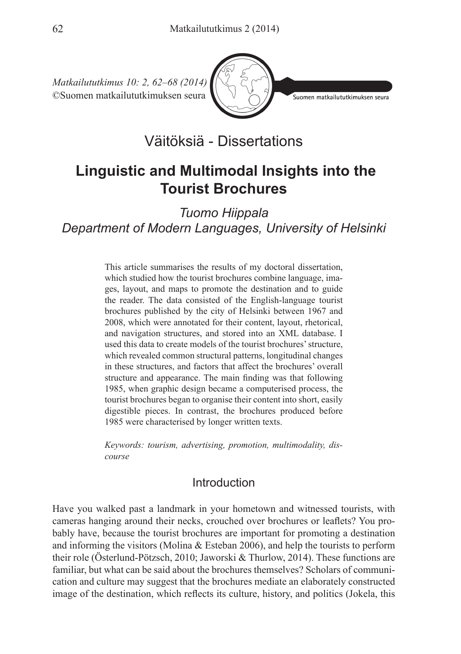

.<br>Suomen matkailututkimuksen seura

Väitöksiä - Dissertations

# **Linguistic and Multimodal Insights into the Tourist Brochures**

*Tuomo Hiippala Department of Modern Languages, University of Helsinki*

> This article summarises the results of my doctoral dissertation, which studied how the tourist brochures combine language, images, layout, and maps to promote the destination and to guide the reader. The data consisted of the English-language tourist brochures published by the city of Helsinki between 1967 and 2008, which were annotated for their content, layout, rhetorical, and navigation structures, and stored into an XML database. I used this data to create models of the tourist brochures' structure, which revealed common structural patterns, longitudinal changes in these structures, and factors that affect the brochures' overall structure and appearance. The main finding was that following 1985, when graphic design became a computerised process, the tourist brochures began to organise their content into short, easily digestible pieces. In contrast, the brochures produced before 1985 were characterised by longer written texts.

> *Keywords: tourism, advertising, promotion, multimodality, discourse*

# Introduction

Have you walked past a landmark in your hometown and witnessed tourists, with cameras hanging around their necks, crouched over brochures or leaflets? You probably have, because the tourist brochures are important for promoting a destination and informing the visitors (Molina & Esteban 2006), and help the tourists to perform their role (Österlund-Pötzsch, 2010; Jaworski & Thurlow, 2014). These functions are familiar, but what can be said about the brochures themselves? Scholars of communication and culture may suggest that the brochures mediate an elaborately constructed image of the destination, which reflects its culture, history, and politics (Jokela, this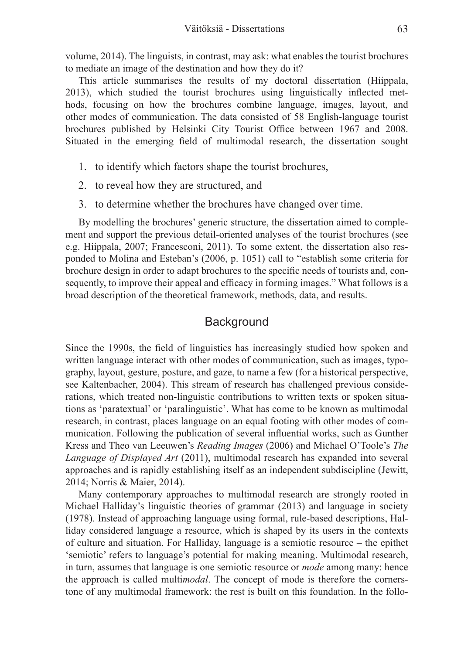volume, 2014). The linguists, in contrast, may ask: what enables the tourist brochures to mediate an image of the destination and how they do it?

This article summarises the results of my doctoral dissertation (Hiippala, 2013), which studied the tourist brochures using linguistically inflected methods, focusing on how the brochures combine language, images, layout, and other modes of communication. The data consisted of 58 English-language tourist brochures published by Helsinki City Tourist Office between 1967 and 2008. Situated in the emerging field of multimodal research, the dissertation sought

- 1. to identify which factors shape the tourist brochures,
- 2. to reveal how they are structured, and
- 3. to determine whether the brochures have changed over time.

By modelling the brochures' generic structure, the dissertation aimed to complement and support the previous detail-oriented analyses of the tourist brochures (see e.g. Hiippala, 2007; Francesconi, 2011). To some extent, the dissertation also responded to Molina and Esteban's (2006, p. 1051) call to "establish some criteria for brochure design in order to adapt brochures to the specific needs of tourists and, consequently, to improve their appeal and efficacy in forming images." What follows is a broad description of the theoretical framework, methods, data, and results.

## **Background**

Since the 1990s, the field of linguistics has increasingly studied how spoken and written language interact with other modes of communication, such as images, typography, layout, gesture, posture, and gaze, to name a few (for a historical perspective, see Kaltenbacher, 2004). This stream of research has challenged previous considerations, which treated non-linguistic contributions to written texts or spoken situations as 'paratextual' or 'paralinguistic'. What has come to be known as multimodal research, in contrast, places language on an equal footing with other modes of communication. Following the publication of several influential works, such as Gunther Kress and Theo van Leeuwen's *Reading Images* (2006) and Michael O'Toole's *The Language of Displayed Art* (2011), multimodal research has expanded into several approaches and is rapidly establishing itself as an independent subdiscipline (Jewitt, 2014; Norris & Maier, 2014).

Many contemporary approaches to multimodal research are strongly rooted in Michael Halliday's linguistic theories of grammar (2013) and language in society (1978). Instead of approaching language using formal, rule-based descriptions, Halliday considered language a resource, which is shaped by its users in the contexts of culture and situation. For Halliday, language is a semiotic resource – the epithet 'semiotic' refers to language's potential for making meaning. Multimodal research, in turn, assumes that language is one semiotic resource or *mode* among many: hence the approach is called multi*modal*. The concept of mode is therefore the cornerstone of any multimodal framework: the rest is built on this foundation. In the follo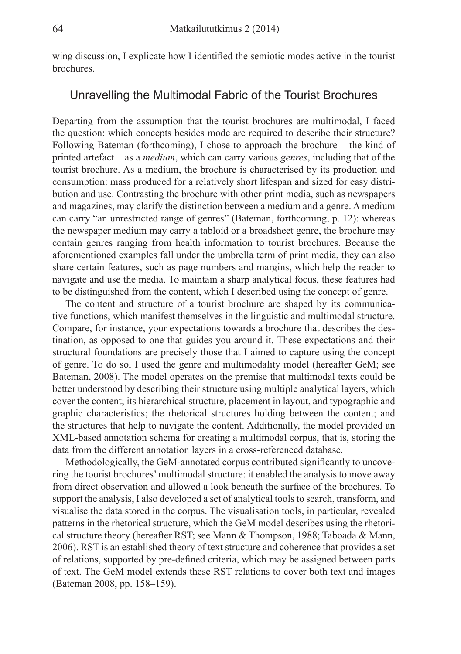wing discussion, I explicate how I identified the semiotic modes active in the tourist brochures.

### Unravelling the Multimodal Fabric of the Tourist Brochures

Departing from the assumption that the tourist brochures are multimodal, I faced the question: which concepts besides mode are required to describe their structure? Following Bateman (forthcoming), I chose to approach the brochure – the kind of printed artefact – as a *medium*, which can carry various *genres*, including that of the tourist brochure. As a medium, the brochure is characterised by its production and consumption: mass produced for a relatively short lifespan and sized for easy distribution and use. Contrasting the brochure with other print media, such as newspapers and magazines, may clarify the distinction between a medium and a genre. A medium can carry "an unrestricted range of genres" (Bateman, forthcoming, p. 12): whereas the newspaper medium may carry a tabloid or a broadsheet genre, the brochure may contain genres ranging from health information to tourist brochures. Because the aforementioned examples fall under the umbrella term of print media, they can also share certain features, such as page numbers and margins, which help the reader to navigate and use the media. To maintain a sharp analytical focus, these features had to be distinguished from the content, which I described using the concept of genre.

The content and structure of a tourist brochure are shaped by its communicative functions, which manifest themselves in the linguistic and multimodal structure. Compare, for instance, your expectations towards a brochure that describes the destination, as opposed to one that guides you around it. These expectations and their structural foundations are precisely those that I aimed to capture using the concept of genre. To do so, I used the genre and multimodality model (hereafter GeM; see Bateman, 2008). The model operates on the premise that multimodal texts could be better understood by describing their structure using multiple analytical layers, which cover the content; its hierarchical structure, placement in layout, and typographic and graphic characteristics; the rhetorical structures holding between the content; and the structures that help to navigate the content. Additionally, the model provided an XML-based annotation schema for creating a multimodal corpus, that is, storing the data from the different annotation layers in a cross-referenced database.

Methodologically, the GeM-annotated corpus contributed significantly to uncovering the tourist brochures' multimodal structure: it enabled the analysis to move away from direct observation and allowed a look beneath the surface of the brochures. To support the analysis, I also developed a set of analytical tools to search, transform, and visualise the data stored in the corpus. The visualisation tools, in particular, revealed patterns in the rhetorical structure, which the GeM model describes using the rhetorical structure theory (hereafter RST; see Mann & Thompson, 1988; Taboada & Mann, 2006). RST is an established theory of text structure and coherence that provides a set of relations, supported by pre-defined criteria, which may be assigned between parts of text. The GeM model extends these RST relations to cover both text and images (Bateman 2008, pp. 158–159).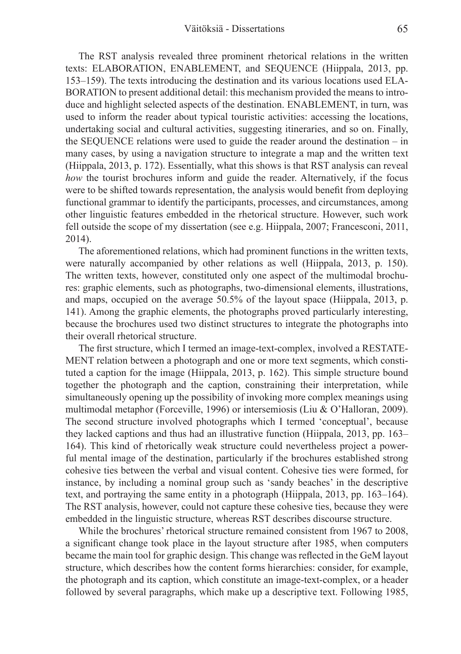The RST analysis revealed three prominent rhetorical relations in the written texts: ELABORATION, ENABLEMENT, and SEQUENCE (Hiippala, 2013, pp. 153–159). The texts introducing the destination and its various locations used ELA-BORATION to present additional detail: this mechanism provided the means to introduce and highlight selected aspects of the destination. ENABLEMENT, in turn, was used to inform the reader about typical touristic activities: accessing the locations, undertaking social and cultural activities, suggesting itineraries, and so on. Finally, the SEQUENCE relations were used to guide the reader around the destination – in many cases, by using a navigation structure to integrate a map and the written text (Hiippala, 2013, p. 172). Essentially, what this shows is that RST analysis can reveal *how* the tourist brochures inform and guide the reader. Alternatively, if the focus were to be shifted towards representation, the analysis would benefit from deploying functional grammar to identify the participants, processes, and circumstances, among other linguistic features embedded in the rhetorical structure. However, such work fell outside the scope of my dissertation (see e.g. Hiippala, 2007; Francesconi, 2011, 2014).

The aforementioned relations, which had prominent functions in the written texts, were naturally accompanied by other relations as well (Hiippala, 2013, p. 150). The written texts, however, constituted only one aspect of the multimodal brochures: graphic elements, such as photographs, two-dimensional elements, illustrations, and maps, occupied on the average 50.5% of the layout space (Hiippala, 2013, p. 141). Among the graphic elements, the photographs proved particularly interesting, because the brochures used two distinct structures to integrate the photographs into their overall rhetorical structure.

The first structure, which I termed an image-text-complex, involved a RESTATE-MENT relation between a photograph and one or more text segments, which constituted a caption for the image (Hiippala, 2013, p. 162). This simple structure bound together the photograph and the caption, constraining their interpretation, while simultaneously opening up the possibility of invoking more complex meanings using multimodal metaphor (Forceville, 1996) or intersemiosis (Liu & O'Halloran, 2009). The second structure involved photographs which I termed 'conceptual', because they lacked captions and thus had an illustrative function (Hiippala, 2013, pp. 163– 164). This kind of rhetorically weak structure could nevertheless project a powerful mental image of the destination, particularly if the brochures established strong cohesive ties between the verbal and visual content. Cohesive ties were formed, for instance, by including a nominal group such as 'sandy beaches' in the descriptive text, and portraying the same entity in a photograph (Hiippala, 2013, pp. 163–164). The RST analysis, however, could not capture these cohesive ties, because they were embedded in the linguistic structure, whereas RST describes discourse structure.

While the brochures' rhetorical structure remained consistent from 1967 to 2008, a significant change took place in the layout structure after 1985, when computers became the main tool for graphic design. This change was reflected in the GeM layout structure, which describes how the content forms hierarchies: consider, for example, the photograph and its caption, which constitute an image-text-complex, or a header followed by several paragraphs, which make up a descriptive text. Following 1985,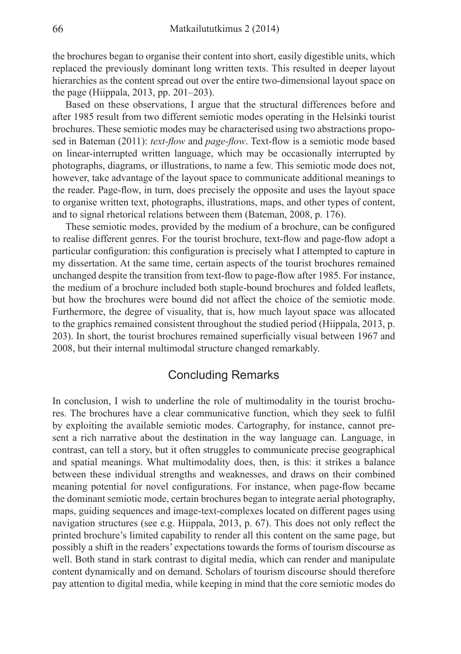the brochures began to organise their content into short, easily digestible units, which replaced the previously dominant long written texts. This resulted in deeper layout hierarchies as the content spread out over the entire two-dimensional layout space on the page (Hiippala, 2013, pp. 201–203).

Based on these observations, I argue that the structural differences before and after 1985 result from two different semiotic modes operating in the Helsinki tourist brochures. These semiotic modes may be characterised using two abstractions proposed in Bateman (2011): *text-flow* and *page-flow*. Text-flow is a semiotic mode based on linear-interrupted written language, which may be occasionally interrupted by photographs, diagrams, or illustrations, to name a few. This semiotic mode does not, however, take advantage of the layout space to communicate additional meanings to the reader. Page-flow, in turn, does precisely the opposite and uses the layout space to organise written text, photographs, illustrations, maps, and other types of content, and to signal rhetorical relations between them (Bateman, 2008, p. 176).

These semiotic modes, provided by the medium of a brochure, can be configured to realise different genres. For the tourist brochure, text-flow and page-flow adopt a particular configuration: this configuration is precisely what I attempted to capture in my dissertation. At the same time, certain aspects of the tourist brochures remained unchanged despite the transition from text-flow to page-flow after 1985. For instance, the medium of a brochure included both staple-bound brochures and folded leaflets, but how the brochures were bound did not affect the choice of the semiotic mode. Furthermore, the degree of visuality, that is, how much layout space was allocated to the graphics remained consistent throughout the studied period (Hiippala, 2013, p. 203). In short, the tourist brochures remained superficially visual between 1967 and 2008, but their internal multimodal structure changed remarkably.

### Concluding Remarks

In conclusion, I wish to underline the role of multimodality in the tourist brochures. The brochures have a clear communicative function, which they seek to fulfil by exploiting the available semiotic modes. Cartography, for instance, cannot present a rich narrative about the destination in the way language can. Language, in contrast, can tell a story, but it often struggles to communicate precise geographical and spatial meanings. What multimodality does, then, is this: it strikes a balance between these individual strengths and weaknesses, and draws on their combined meaning potential for novel configurations. For instance, when page-flow became the dominant semiotic mode, certain brochures began to integrate aerial photography, maps, guiding sequences and image-text-complexes located on different pages using navigation structures (see e.g. Hiippala, 2013, p. 67). This does not only reflect the printed brochure's limited capability to render all this content on the same page, but possibly a shift in the readers' expectations towards the forms of tourism discourse as well. Both stand in stark contrast to digital media, which can render and manipulate content dynamically and on demand. Scholars of tourism discourse should therefore pay attention to digital media, while keeping in mind that the core semiotic modes do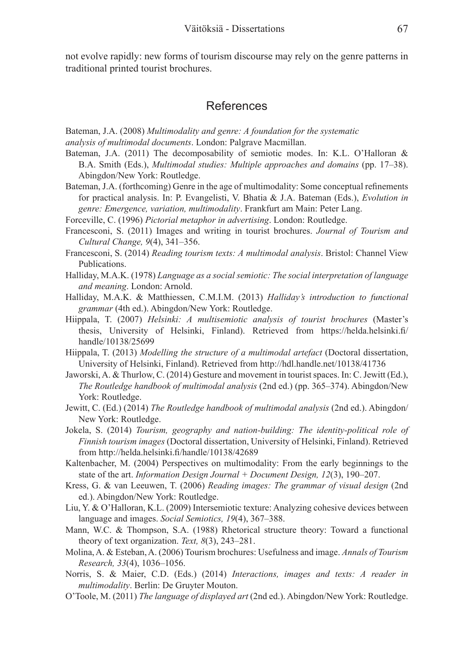not evolve rapidly: new forms of tourism discourse may rely on the genre patterns in traditional printed tourist brochures.

#### References

Bateman, J.A. (2008) *Multimodality and genre: A foundation for the systematic analysis of multimodal documents*. London: Palgrave Macmillan.

- Bateman, J.A. (2011) The decomposability of semiotic modes. In: K.L. O'Halloran  $\&$ B.A. Smith (Eds.), *Multimodal studies: Multiple approaches and domains* (pp. 17–38). Abingdon/New York: Routledge.
- Bateman, J.A. (forthcoming) Genre in the age of multimodality: Some conceptual refinements for practical analysis. In: P. Evangelisti, V. Bhatia & J.A. Bateman (Eds.), *Evolution in genre: Emergence, variation, multimodality*. Frankfurt am Main: Peter Lang.
- Forceville, C. (1996) *Pictorial metaphor in advertising*. London: Routledge.
- Francesconi, S. (2011) Images and writing in tourist brochures. *Journal of Tourism and Cultural Change, 9*(4), 341–356.
- Francesconi, S. (2014) *Reading tourism texts: A multimodal analysis*. Bristol: Channel View Publications.
- Halliday, M.A.K. (1978) *Language as a social semiotic: The social interpretation of language and meaning*. London: Arnold.
- Halliday, M.A.K. & Matthiessen, C.M.I.M. (2013) *Halliday's introduction to functional grammar* (4th ed.). Abingdon/New York: Routledge.
- Hiippala, T. (2007) *Helsinki: A multisemiotic analysis of tourist brochures* (Master's thesis, University of Helsinki, Finland). Retrieved from https://helda.helsinki.fi/ handle/10138/25699
- Hiippala, T. (2013) *Modelling the structure of a multimodal artefact* (Doctoral dissertation, University of Helsinki, Finland). Retrieved from http://hdl.handle.net/10138/41736
- Jaworski, A. & Thurlow, C. (2014) Gesture and movement in tourist spaces. In: C. Jewitt (Ed.), *The Routledge handbook of multimodal analysis* (2nd ed.) (pp. 365–374). Abingdon/New York: Routledge.
- Jewitt, C. (Ed.) (2014) *The Routledge handbook of multimodal analysis* (2nd ed.). Abingdon/ New York: Routledge.
- Jokela, S. (2014) *Tourism, geography and nation-building: The identity-political role of Finnish tourism images* (Doctoral dissertation, University of Helsinki, Finland). Retrieved from http://helda.helsinki.fi/handle/10138/42689
- Kaltenbacher, M. (2004) Perspectives on multimodality: From the early beginnings to the state of the art. *Information Design Journal + Document Design, 12*(3), 190–207.
- Kress, G. & van Leeuwen, T. (2006) *Reading images: The grammar of visual design* (2nd ed.). Abingdon/New York: Routledge.
- Liu, Y. & O'Halloran, K.L. (2009) Intersemiotic texture: Analyzing cohesive devices between language and images. *Social Semiotics, 19*(4), 367–388.
- Mann, W.C. & Thompson, S.A. (1988) Rhetorical structure theory: Toward a functional theory of text organization. *Text, 8*(3), 243–281.
- Molina, A. & Esteban, A. (2006) Tourism brochures: Usefulness and image. *Annals of Tourism Research, 33*(4), 1036–1056.
- Norris, S. & Maier, C.D. (Eds.) (2014) *Interactions, images and texts: A reader in multimodality*. Berlin: De Gruyter Mouton.
- O'Toole, M. (2011) *The language of displayed art* (2nd ed.). Abingdon/New York: Routledge.